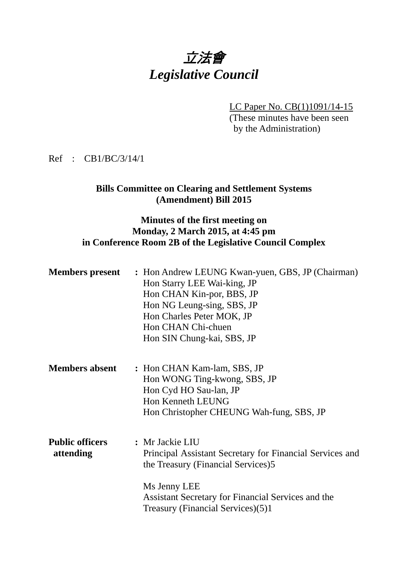# 立法會 *Legislative Council*

LC Paper No. CB(1)1091/14-15 (These minutes have been seen by the Administration)

Ref : CB1/BC/3/14/1

## **Bills Committee on Clearing and Settlement Systems (Amendment) Bill 2015**

## **Minutes of the first meeting on Monday, 2 March 2015, at 4:45 pm in Conference Room 2B of the Legislative Council Complex**

| <b>Members present</b>              | : Hon Andrew LEUNG Kwan-yuen, GBS, JP (Chairman)<br>Hon Starry LEE Wai-king, JP<br>Hon CHAN Kin-por, BBS, JP<br>Hon NG Leung-sing, SBS, JP<br>Hon Charles Peter MOK, JP<br>Hon CHAN Chi-chuen<br>Hon SIN Chung-kai, SBS, JP  |
|-------------------------------------|------------------------------------------------------------------------------------------------------------------------------------------------------------------------------------------------------------------------------|
| <b>Members absent</b>               | : Hon CHAN Kam-lam, SBS, JP<br>Hon WONG Ting-kwong, SBS, JP<br>Hon Cyd HO Sau-lan, JP<br>Hon Kenneth LEUNG<br>Hon Christopher CHEUNG Wah-fung, SBS, JP                                                                       |
| <b>Public officers</b><br>attending | : Mr Jackie LIU<br>Principal Assistant Secretary for Financial Services and<br>the Treasury (Financial Services)5<br>Ms Jenny LEE<br>Assistant Secretary for Financial Services and the<br>Treasury (Financial Services)(5)1 |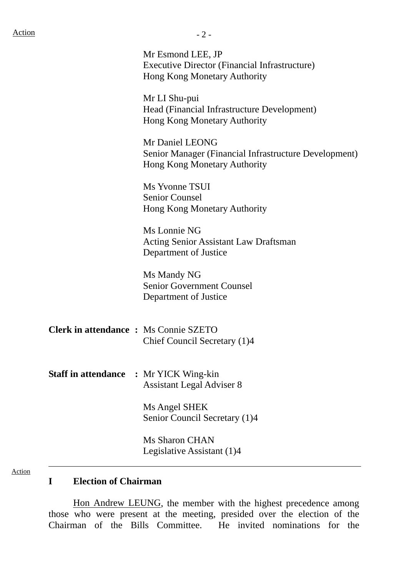Executive Director (Financial Infrastructure) Hong Kong Monetary Authority Mr LI Shu-pui Head (Financial Infrastructure Development) Hong Kong Monetary Authority Mr Daniel LEONG Senior Manager (Financial Infrastructure Development) Hong Kong Monetary Authority Ms Yvonne TSUI Senior Counsel Hong Kong Monetary Authority Ms Lonnie NG Acting Senior Assistant Law Draftsman Department of Justice Ms Mandy NG Senior Government Counsel Department of Justice **Clerk in attendance :** Ms Connie SZETO Chief Council Secretary (1)4 **Staff in attendance :** Mr YICK Wing-kin Assistant Legal Adviser 8 Ms Angel SHEK Senior Council Secretary (1)4

Ms Sharon CHAN Legislative Assistant (1)4

#### Action

#### **I Election of Chairman**

 Hon Andrew LEUNG, the member with the highest precedence among those who were present at the meeting, presided over the election of the Chairman of the Bills Committee. He invited nominations for the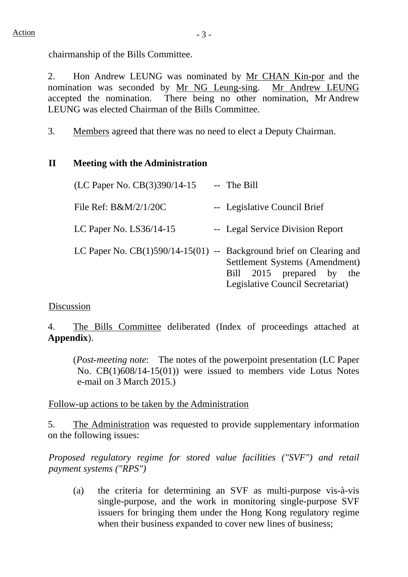chairmanship of the Bills Committee.

2. Hon Andrew LEUNG was nominated by Mr CHAN Kin-por and the nomination was seconded by Mr NG Leung-sing. Mr Andrew LEUNG accepted the nomination. There being no other nomination, Mr Andrew LEUNG was elected Chairman of the Bills Committee.

3. Members agreed that there was no need to elect a Deputy Chairman.

# **II Meeting with the Administration**

| (LC Paper No. CB(3)390/14-15                                          | -- The Bill                                                                                     |
|-----------------------------------------------------------------------|-------------------------------------------------------------------------------------------------|
| File Ref: $B\&M/2/1/20C$                                              | -- Legislative Council Brief                                                                    |
| LC Paper No. $LS36/14-15$                                             | -- Legal Service Division Report                                                                |
| LC Paper No. $CB(1)590/14-15(01)$ -- Background brief on Clearing and | Settlement Systems (Amendment)<br>Bill 2015 prepared by the<br>Legislative Council Secretariat) |

## Discussion

4. The Bills Committee deliberated (Index of proceedings attached at **Appendix**).

(*Post-meeting note*:The notes of the powerpoint presentation (LC Paper No. CB(1)608/14-15(01)) were issued to members vide Lotus Notes e-mail on 3 March 2015.)

## Follow-up actions to be taken by the Administration

5. The Administration was requested to provide supplementary information on the following issues:

*Proposed regulatory regime for stored value facilities ("SVF") and retail payment systems ("RPS")* 

(a) the criteria for determining an SVF as multi-purpose vis-à-vis single-purpose, and the work in monitoring single-purpose SVF issuers for bringing them under the Hong Kong regulatory regime when their business expanded to cover new lines of business;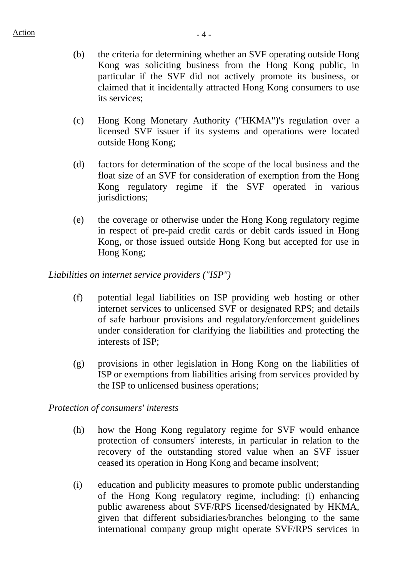- (b) the criteria for determining whether an SVF operating outside Hong Kong was soliciting business from the Hong Kong public, in particular if the SVF did not actively promote its business, or claimed that it incidentally attracted Hong Kong consumers to use its services;
- (c) Hong Kong Monetary Authority ("HKMA")'s regulation over a licensed SVF issuer if its systems and operations were located outside Hong Kong;
- (d) factors for determination of the scope of the local business and the float size of an SVF for consideration of exemption from the Hong Kong regulatory regime if the SVF operated in various jurisdictions;
- (e) the coverage or otherwise under the Hong Kong regulatory regime in respect of pre-paid credit cards or debit cards issued in Hong Kong, or those issued outside Hong Kong but accepted for use in Hong Kong;

#### *Liabilities on internet service providers ("ISP")*

- (f) potential legal liabilities on ISP providing web hosting or other internet services to unlicensed SVF or designated RPS; and details of safe harbour provisions and regulatory/enforcement guidelines under consideration for clarifying the liabilities and protecting the interests of ISP;
- (g) provisions in other legislation in Hong Kong on the liabilities of ISP or exemptions from liabilities arising from services provided by the ISP to unlicensed business operations;

#### *Protection of consumers' interests*

- (h) how the Hong Kong regulatory regime for SVF would enhance protection of consumers' interests, in particular in relation to the recovery of the outstanding stored value when an SVF issuer ceased its operation in Hong Kong and became insolvent;
- (i) education and publicity measures to promote public understanding of the Hong Kong regulatory regime, including: (i) enhancing public awareness about SVF/RPS licensed/designated by HKMA, given that different subsidiaries/branches belonging to the same international company group might operate SVF/RPS services in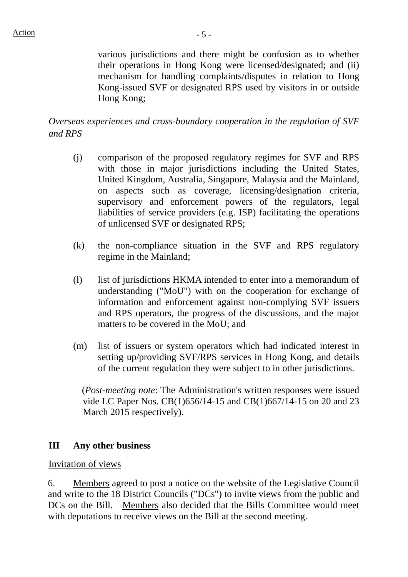various jurisdictions and there might be confusion as to whether their operations in Hong Kong were licensed/designated; and (ii) mechanism for handling complaints/disputes in relation to Hong Kong-issued SVF or designated RPS used by visitors in or outside Hong Kong;

# *Overseas experiences and cross-boundary cooperation in the regulation of SVF and RPS*

- (j) comparison of the proposed regulatory regimes for SVF and RPS with those in major jurisdictions including the United States, United Kingdom, Australia, Singapore, Malaysia and the Mainland, on aspects such as coverage, licensing/designation criteria, supervisory and enforcement powers of the regulators, legal liabilities of service providers (e.g. ISP) facilitating the operations of unlicensed SVF or designated RPS;
- (k) the non-compliance situation in the SVF and RPS regulatory regime in the Mainland;
- (l) list of jurisdictions HKMA intended to enter into a memorandum of understanding ("MoU") with on the cooperation for exchange of information and enforcement against non-complying SVF issuers and RPS operators, the progress of the discussions, and the major matters to be covered in the MoU; and
- (m) list of issuers or system operators which had indicated interest in setting up/providing SVF/RPS services in Hong Kong, and details of the current regulation they were subject to in other jurisdictions.

(*Post-meeting note*: The Administration's written responses were issued vide LC Paper Nos. CB(1)656/14-15 and CB(1)667/14-15 on 20 and 23 March 2015 respectively).

## **III Any other business**

#### Invitation of views

6. Members agreed to post a notice on the website of the Legislative Council and write to the 18 District Councils ("DCs") to invite views from the public and DCs on the Bill. Members also decided that the Bills Committee would meet with deputations to receive views on the Bill at the second meeting.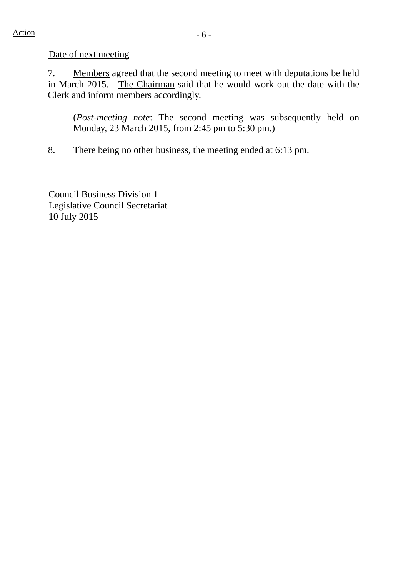7. Members agreed that the second meeting to meet with deputations be held in March 2015. The Chairman said that he would work out the date with the Clerk and inform members accordingly.

(*Post-meeting note*: The second meeting was subsequently held on Monday, 23 March 2015, from 2:45 pm to 5:30 pm.)

8. There being no other business, the meeting ended at 6:13 pm.

Council Business Division 1 Legislative Council Secretariat 10 July 2015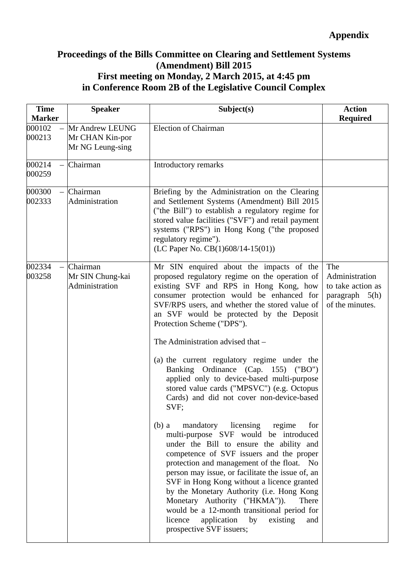# **Proceedings of the Bills Committee on Clearing and Settlement Systems (Amendment) Bill 2015 First meeting on Monday, 2 March 2015, at 4:45 pm in Conference Room 2B of the Legislative Council Complex**

| <b>Time</b><br><b>Marker</b>                 | <b>Speaker</b>                                         | Subject(s)                                                                                                                                                                                                                                                                                                                                                                                                                                                                                                                                                                        | <b>Action</b><br><b>Required</b>                                                        |
|----------------------------------------------|--------------------------------------------------------|-----------------------------------------------------------------------------------------------------------------------------------------------------------------------------------------------------------------------------------------------------------------------------------------------------------------------------------------------------------------------------------------------------------------------------------------------------------------------------------------------------------------------------------------------------------------------------------|-----------------------------------------------------------------------------------------|
| 000102<br>000213                             | Mr Andrew LEUNG<br>Mr CHAN Kin-por<br>Mr NG Leung-sing | <b>Election of Chairman</b>                                                                                                                                                                                                                                                                                                                                                                                                                                                                                                                                                       |                                                                                         |
| 000214<br>000259                             | Chairman                                               | Introductory remarks                                                                                                                                                                                                                                                                                                                                                                                                                                                                                                                                                              |                                                                                         |
| 000300<br>002333                             | Chairman<br>Administration                             | Briefing by the Administration on the Clearing<br>and Settlement Systems (Amendment) Bill 2015<br>("the Bill") to establish a regulatory regime for<br>stored value facilities ("SVF") and retail payment<br>systems ("RPS") in Hong Kong ("the proposed<br>regulatory regime").<br>(LC Paper No. CB(1)608/14-15(01))                                                                                                                                                                                                                                                             |                                                                                         |
| 002334<br>$\overline{\phantom{0}}$<br>003258 | Chairman<br>Mr SIN Chung-kai<br>Administration         | Mr SIN enquired about the impacts of the<br>proposed regulatory regime on the operation of<br>existing SVF and RPS in Hong Kong, how<br>consumer protection would be enhanced for<br>SVF/RPS users, and whether the stored value of<br>an SVF would be protected by the Deposit<br>Protection Scheme ("DPS").<br>The Administration advised that -<br>(a) the current regulatory regime under the<br>Banking Ordinance (Cap. 155) ("BO")<br>applied only to device-based multi-purpose<br>stored value cards ("MPSVC") (e.g. Octopus<br>Cards) and did not cover non-device-based | The<br>Administration<br>to take action as<br>$paragraph \quad 5(h)$<br>of the minutes. |
|                                              |                                                        | SVF;<br>mandatory licensing<br>regime<br>$(b)$ a<br>for<br>multi-purpose SVF would be introduced<br>under the Bill to ensure the ability and<br>competence of SVF issuers and the proper<br>protection and management of the float. No<br>person may issue, or facilitate the issue of, an<br>SVF in Hong Kong without a licence granted<br>by the Monetary Authority (i.e. Hong Kong<br>Monetary Authority ("HKMA")).<br>There<br>would be a 12-month transitional period for<br>application<br>licence<br>by<br>existing<br>and<br>prospective SVF issuers;                     |                                                                                         |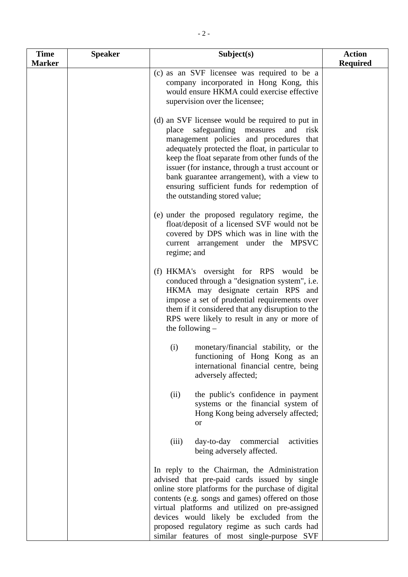| <b>Time</b>   | <b>Speaker</b> | Subject(s)                                                                                                                                                                                                                                                                                                                                                                                                                            | <b>Action</b>   |
|---------------|----------------|---------------------------------------------------------------------------------------------------------------------------------------------------------------------------------------------------------------------------------------------------------------------------------------------------------------------------------------------------------------------------------------------------------------------------------------|-----------------|
| <b>Marker</b> |                | (c) as an SVF licensee was required to be a<br>company incorporated in Hong Kong, this<br>would ensure HKMA could exercise effective<br>supervision over the licensee;                                                                                                                                                                                                                                                                | <b>Required</b> |
|               |                | (d) an SVF licensee would be required to put in<br>safeguarding measures<br>place<br>and<br>risk<br>management policies and procedures that<br>adequately protected the float, in particular to<br>keep the float separate from other funds of the<br>issuer (for instance, through a trust account or<br>bank guarantee arrangement), with a view to<br>ensuring sufficient funds for redemption of<br>the outstanding stored value; |                 |
|               |                | (e) under the proposed regulatory regime, the<br>float/deposit of a licensed SVF would not be<br>covered by DPS which was in line with the<br>current arrangement under the MPSVC<br>regime; and                                                                                                                                                                                                                                      |                 |
|               |                | (f) HKMA's oversight for RPS would be<br>conduced through a "designation system", i.e.<br>HKMA may designate certain RPS and<br>impose a set of prudential requirements over<br>them if it considered that any disruption to the<br>RPS were likely to result in any or more of<br>the following $-$                                                                                                                                  |                 |
|               |                | (i)<br>monetary/financial stability, or the<br>functioning of Hong Kong as an<br>international financial centre, being<br>adversely affected;                                                                                                                                                                                                                                                                                         |                 |
|               |                | the public's confidence in payment<br>(ii)<br>systems or the financial system of<br>Hong Kong being adversely affected;<br><b>or</b>                                                                                                                                                                                                                                                                                                  |                 |
|               |                | day-to-day commercial<br>(iii)<br>activities<br>being adversely affected.                                                                                                                                                                                                                                                                                                                                                             |                 |
|               |                | In reply to the Chairman, the Administration<br>advised that pre-paid cards issued by single<br>online store platforms for the purchase of digital<br>contents (e.g. songs and games) offered on those<br>virtual platforms and utilized on pre-assigned<br>devices would likely be excluded from the<br>proposed regulatory regime as such cards had<br>similar features of most single-purpose SVF                                  |                 |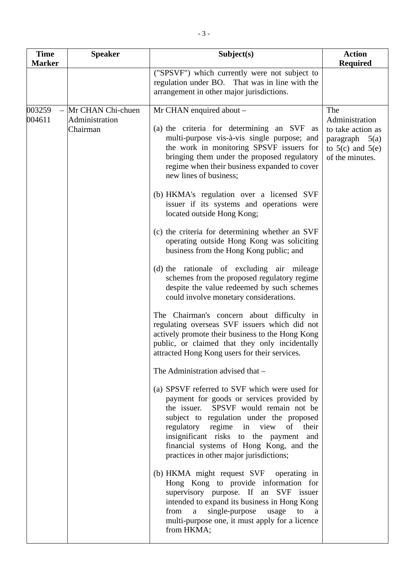| <b>Time</b><br><b>Marker</b> | <b>Speaker</b>                                  | Subject(s)                                                                                                                                                                                                                                                                                                                                                                                                                                                                                                                                                                                                                                                                                                                                                                                                                                                                                                                                                                                                                                                                                                                                                                                                                                                                                                                                                                                                 | <b>Action</b><br><b>Required</b>                                                                          |
|------------------------------|-------------------------------------------------|------------------------------------------------------------------------------------------------------------------------------------------------------------------------------------------------------------------------------------------------------------------------------------------------------------------------------------------------------------------------------------------------------------------------------------------------------------------------------------------------------------------------------------------------------------------------------------------------------------------------------------------------------------------------------------------------------------------------------------------------------------------------------------------------------------------------------------------------------------------------------------------------------------------------------------------------------------------------------------------------------------------------------------------------------------------------------------------------------------------------------------------------------------------------------------------------------------------------------------------------------------------------------------------------------------------------------------------------------------------------------------------------------------|-----------------------------------------------------------------------------------------------------------|
|                              |                                                 | ("SPSVF") which currently were not subject to<br>regulation under BO. That was in line with the<br>arrangement in other major jurisdictions.                                                                                                                                                                                                                                                                                                                                                                                                                                                                                                                                                                                                                                                                                                                                                                                                                                                                                                                                                                                                                                                                                                                                                                                                                                                               |                                                                                                           |
| 003259<br>004611             | Mr CHAN Chi-chuen<br>Administration<br>Chairman | Mr CHAN enquired about –<br>(a) the criteria for determining an SVF as<br>multi-purpose vis-à-vis single purpose; and<br>the work in monitoring SPSVF issuers for<br>bringing them under the proposed regulatory<br>regime when their business expanded to cover<br>new lines of business;<br>(b) HKMA's regulation over a licensed SVF<br>issuer if its systems and operations were<br>located outside Hong Kong;<br>(c) the criteria for determining whether an SVF<br>operating outside Hong Kong was soliciting<br>business from the Hong Kong public; and<br>(d) the rationale of excluding air mileage<br>schemes from the proposed regulatory regime<br>despite the value redeemed by such schemes<br>could involve monetary considerations.<br>The Chairman's concern about difficulty in<br>regulating overseas SVF issuers which did not<br>actively promote their business to the Hong Kong<br>public, or claimed that they only incidentally<br>attracted Hong Kong users for their services.<br>The Administration advised that -<br>(a) SPSVF referred to SVF which were used for<br>payment for goods or services provided by<br>the issuer. SPSVF would remain not be<br>subject to regulation under the proposed<br>regulatory regime in view of<br>their<br>insignificant risks to the payment and<br>financial systems of Hong Kong, and the<br>practices in other major jurisdictions; | The<br>Administration<br>to take action as<br>paragraph $5(a)$<br>to $5(c)$ and $5(e)$<br>of the minutes. |
|                              |                                                 | (b) HKMA might request SVF operating in<br>Hong Kong to provide information for<br>supervisory purpose. If an SVF issuer<br>intended to expand its business in Hong Kong<br>single-purpose<br>from a<br>usage<br>to<br>a<br>multi-purpose one, it must apply for a licence<br>from HKMA;                                                                                                                                                                                                                                                                                                                                                                                                                                                                                                                                                                                                                                                                                                                                                                                                                                                                                                                                                                                                                                                                                                                   |                                                                                                           |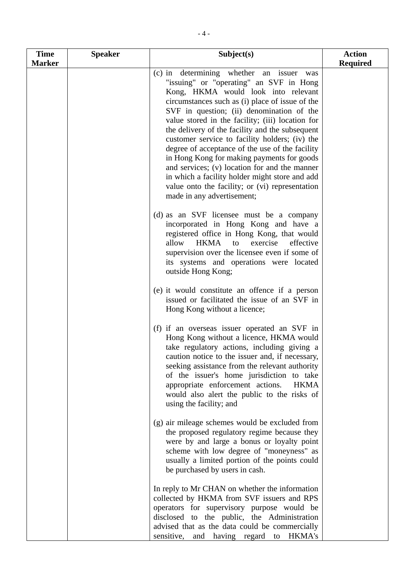| <b>Time</b><br><b>Marker</b> | <b>Speaker</b> | Subject(s)                                                                                                                                                                                                                                                                                                                                                                                                                                                                                                                                                                                                                                                               | <b>Action</b><br><b>Required</b> |
|------------------------------|----------------|--------------------------------------------------------------------------------------------------------------------------------------------------------------------------------------------------------------------------------------------------------------------------------------------------------------------------------------------------------------------------------------------------------------------------------------------------------------------------------------------------------------------------------------------------------------------------------------------------------------------------------------------------------------------------|----------------------------------|
|                              |                | (c) in determining whether an issuer was<br>"issuing" or "operating" an SVF in Hong<br>Kong, HKMA would look into relevant<br>circumstances such as (i) place of issue of the<br>SVF in question; (ii) denomination of the<br>value stored in the facility; (iii) location for<br>the delivery of the facility and the subsequent<br>customer service to facility holders; (iv) the<br>degree of acceptance of the use of the facility<br>in Hong Kong for making payments for goods<br>and services; (v) location for and the manner<br>in which a facility holder might store and add<br>value onto the facility; or (vi) representation<br>made in any advertisement; |                                  |
|                              |                | (d) as an SVF licensee must be a company<br>incorporated in Hong Kong and have a<br>registered office in Hong Kong, that would<br>HKMA<br>allow<br>exercise<br>effective<br>to<br>supervision over the licensee even if some of<br>its systems and operations were located<br>outside Hong Kong;                                                                                                                                                                                                                                                                                                                                                                         |                                  |
|                              |                | (e) it would constitute an offence if a person<br>issued or facilitated the issue of an SVF in<br>Hong Kong without a licence;                                                                                                                                                                                                                                                                                                                                                                                                                                                                                                                                           |                                  |
|                              |                | (f) if an overseas issuer operated an SVF in<br>Hong Kong without a licence, HKMA would<br>take regulatory actions, including giving a<br>caution notice to the issuer and, if necessary,<br>seeking assistance from the relevant authority<br>of the issuer's home jurisdiction to take<br>appropriate enforcement actions.<br><b>HKMA</b><br>would also alert the public to the risks of<br>using the facility; and                                                                                                                                                                                                                                                    |                                  |
|                              |                | (g) air mileage schemes would be excluded from<br>the proposed regulatory regime because they<br>were by and large a bonus or loyalty point<br>scheme with low degree of "moneyness" as<br>usually a limited portion of the points could<br>be purchased by users in cash.                                                                                                                                                                                                                                                                                                                                                                                               |                                  |
|                              |                | In reply to Mr CHAN on whether the information<br>collected by HKMA from SVF issuers and RPS<br>operators for supervisory purpose would be<br>disclosed to the public, the Administration<br>advised that as the data could be commercially<br>and having regard to HKMA's<br>sensitive,                                                                                                                                                                                                                                                                                                                                                                                 |                                  |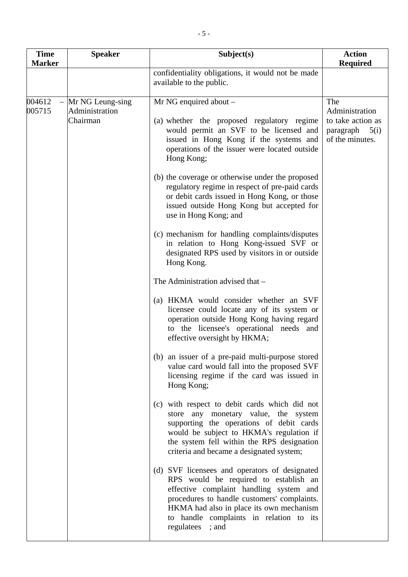| <b>Time</b><br><b>Marker</b> | <b>Speaker</b>                                 | Subject(s)                                                                                                                                                                                                                                                                                                                                                                                                                                                                                                                                                                                                                                          | <b>Action</b><br><b>Required</b>                                                   |
|------------------------------|------------------------------------------------|-----------------------------------------------------------------------------------------------------------------------------------------------------------------------------------------------------------------------------------------------------------------------------------------------------------------------------------------------------------------------------------------------------------------------------------------------------------------------------------------------------------------------------------------------------------------------------------------------------------------------------------------------------|------------------------------------------------------------------------------------|
|                              |                                                | confidentiality obligations, it would not be made<br>available to the public.                                                                                                                                                                                                                                                                                                                                                                                                                                                                                                                                                                       |                                                                                    |
| 004612<br>005715             | Mr NG Leung-sing<br>Administration<br>Chairman | Mr NG enquired about -<br>(a) whether the proposed regulatory regime<br>would permit an SVF to be licensed and<br>issued in Hong Kong if the systems and<br>operations of the issuer were located outside<br>Hong Kong;<br>(b) the coverage or otherwise under the proposed<br>regulatory regime in respect of pre-paid cards<br>or debit cards issued in Hong Kong, or those<br>issued outside Hong Kong but accepted for<br>use in Hong Kong; and<br>(c) mechanism for handling complaints/disputes<br>in relation to Hong Kong-issued SVF or<br>designated RPS used by visitors in or outside<br>Hong Kong.<br>The Administration advised that - | The<br>Administration<br>to take action as<br>paragraph<br>5(i)<br>of the minutes. |
|                              |                                                | (a) HKMA would consider whether an SVF<br>licensee could locate any of its system or<br>operation outside Hong Kong having regard<br>to the licensee's operational needs and<br>effective oversight by HKMA;<br>(b) an issuer of a pre-paid multi-purpose stored<br>value card would fall into the proposed SVF<br>licensing regime if the card was issued in                                                                                                                                                                                                                                                                                       |                                                                                    |
|                              |                                                | Hong Kong;<br>(c) with respect to debit cards which did not<br>store any monetary value, the system<br>supporting the operations of debit cards<br>would be subject to HKMA's regulation if<br>the system fell within the RPS designation<br>criteria and became a designated system;<br>(d) SVF licensees and operators of designated<br>RPS would be required to establish an<br>effective complaint handling system and<br>procedures to handle customers' complaints.<br>HKMA had also in place its own mechanism<br>to handle complaints in relation to its<br>regulatees<br>; and                                                             |                                                                                    |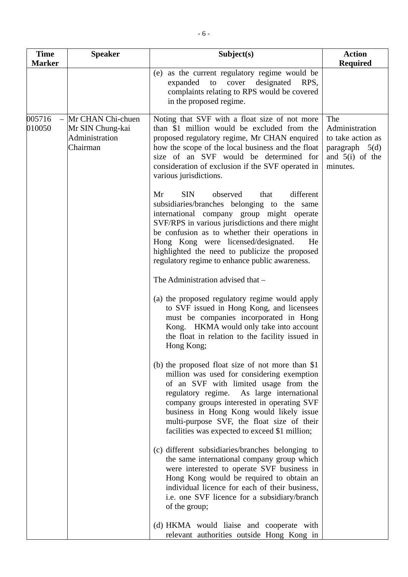| <b>Time</b><br><b>Marker</b> | <b>Speaker</b>                                                      | Subject(s)                                                                                                                                                                                                                                                                                                                                                                                           | <b>Action</b><br><b>Required</b>                                                                |
|------------------------------|---------------------------------------------------------------------|------------------------------------------------------------------------------------------------------------------------------------------------------------------------------------------------------------------------------------------------------------------------------------------------------------------------------------------------------------------------------------------------------|-------------------------------------------------------------------------------------------------|
|                              |                                                                     | (e) as the current regulatory regime would be<br>designated<br>expanded<br>cover<br>RPS,<br>to<br>complaints relating to RPS would be covered<br>in the proposed regime.                                                                                                                                                                                                                             |                                                                                                 |
| 005716<br>010050             | Mr CHAN Chi-chuen<br>Mr SIN Chung-kai<br>Administration<br>Chairman | Noting that SVF with a float size of not more<br>than \$1 million would be excluded from the<br>proposed regulatory regime, Mr CHAN enquired<br>how the scope of the local business and the float<br>size of an SVF would be determined for<br>consideration of exclusion if the SVF operated in<br>various jurisdictions.                                                                           | The<br>Administration<br>to take action as<br>paragraph $5(d)$<br>and $5(i)$ of the<br>minutes. |
|                              |                                                                     | <b>SIN</b><br>observed<br>different<br>Mr<br>that<br>subsidiaries/branches belonging to the same<br>international company group might operate<br>SVF/RPS in various jurisdictions and there might<br>be confusion as to whether their operations in<br>Hong Kong were licensed/designated.<br>He<br>highlighted the need to publicize the proposed<br>regulatory regime to enhance public awareness. |                                                                                                 |
|                              |                                                                     | The Administration advised that -                                                                                                                                                                                                                                                                                                                                                                    |                                                                                                 |
|                              |                                                                     | (a) the proposed regulatory regime would apply<br>to SVF issued in Hong Kong, and licensees<br>must be companies incorporated in Hong<br>Kong. HKMA would only take into account<br>the float in relation to the facility issued in<br>Hong Kong;                                                                                                                                                    |                                                                                                 |
|                              |                                                                     | (b) the proposed float size of not more than \$1<br>million was used for considering exemption<br>of an SVF with limited usage from the<br>regulatory regime. As large international<br>company groups interested in operating SVF<br>business in Hong Kong would likely issue<br>multi-purpose SVF, the float size of their<br>facilities was expected to exceed \$1 million;                       |                                                                                                 |
|                              |                                                                     | (c) different subsidiaries/branches belonging to<br>the same international company group which<br>were interested to operate SVF business in<br>Hong Kong would be required to obtain an<br>individual licence for each of their business,<br>i.e. one SVF licence for a subsidiary/branch<br>of the group;                                                                                          |                                                                                                 |
|                              |                                                                     | (d) HKMA would liaise and cooperate with<br>relevant authorities outside Hong Kong in                                                                                                                                                                                                                                                                                                                |                                                                                                 |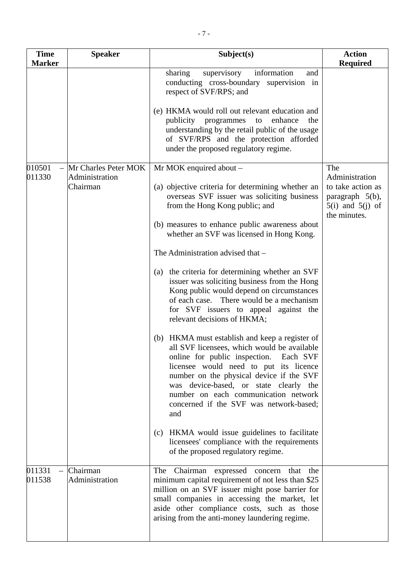| <b>Time</b>      | <b>Speaker</b>                         | Subject(s)                                                                                                                                                                                                                                                                                                                                                           | <b>Action</b>                                                                |
|------------------|----------------------------------------|----------------------------------------------------------------------------------------------------------------------------------------------------------------------------------------------------------------------------------------------------------------------------------------------------------------------------------------------------------------------|------------------------------------------------------------------------------|
| <b>Marker</b>    |                                        | sharing<br>supervisory<br>information<br>and<br>conducting cross-boundary supervision in<br>respect of SVF/RPS; and                                                                                                                                                                                                                                                  | <b>Required</b>                                                              |
|                  |                                        | (e) HKMA would roll out relevant education and<br>publicity programmes to<br>enhance<br>the<br>understanding by the retail public of the usage<br>of SVF/RPS and the protection afforded<br>under the proposed regulatory regime.                                                                                                                                    |                                                                              |
| 010501<br>011330 | Mr Charles Peter MOK<br>Administration | Mr MOK enquired about -                                                                                                                                                                                                                                                                                                                                              | The<br>Administration                                                        |
|                  | Chairman                               | (a) objective criteria for determining whether an<br>overseas SVF issuer was soliciting business<br>from the Hong Kong public; and                                                                                                                                                                                                                                   | to take action as<br>paragraph 5(b),<br>$5(i)$ and $5(j)$ of<br>the minutes. |
|                  |                                        | (b) measures to enhance public awareness about<br>whether an SVF was licensed in Hong Kong.                                                                                                                                                                                                                                                                          |                                                                              |
|                  |                                        | The Administration advised that -                                                                                                                                                                                                                                                                                                                                    |                                                                              |
|                  |                                        | (a) the criteria for determining whether an SVF<br>issuer was soliciting business from the Hong<br>Kong public would depend on circumstances<br>of each case. There would be a mechanism<br>for SVF issuers to appeal against the<br>relevant decisions of HKMA;                                                                                                     |                                                                              |
|                  |                                        | (b) HKMA must establish and keep a register of<br>all SVF licensees, which would be available<br>online for public inspection.<br>Each SVF<br>licensee would need to put its licence<br>number on the physical device if the SVF<br>was device-based, or state clearly the<br>number on each communication network<br>concerned if the SVF was network-based;<br>and |                                                                              |
|                  |                                        | (c) HKMA would issue guidelines to facilitate<br>licensees' compliance with the requirements<br>of the proposed regulatory regime.                                                                                                                                                                                                                                   |                                                                              |
| 011331<br>011538 | Chairman<br>Administration             | The<br>Chairman expressed concern that the<br>minimum capital requirement of not less than \$25<br>million on an SVF issuer might pose barrier for<br>small companies in accessing the market, let<br>aside other compliance costs, such as those<br>arising from the anti-money laundering regime.                                                                  |                                                                              |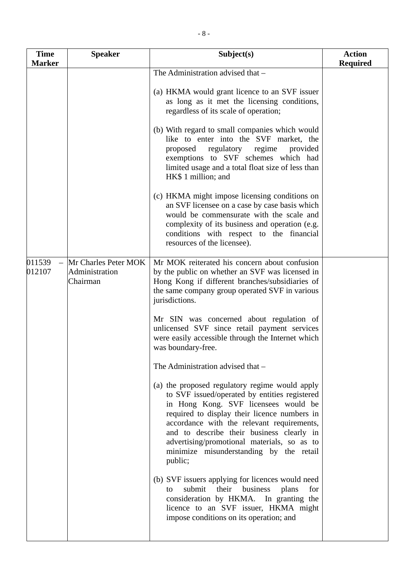| <b>Time</b><br><b>Marker</b> | <b>Speaker</b>                                     | Subject(s)                                                                                                                                                                                                                                                                                                                                                                              | <b>Action</b><br><b>Required</b> |
|------------------------------|----------------------------------------------------|-----------------------------------------------------------------------------------------------------------------------------------------------------------------------------------------------------------------------------------------------------------------------------------------------------------------------------------------------------------------------------------------|----------------------------------|
|                              |                                                    | The Administration advised that -                                                                                                                                                                                                                                                                                                                                                       |                                  |
|                              |                                                    | (a) HKMA would grant licence to an SVF issuer<br>as long as it met the licensing conditions,<br>regardless of its scale of operation;                                                                                                                                                                                                                                                   |                                  |
|                              |                                                    | (b) With regard to small companies which would<br>like to enter into the SVF market, the<br>regulatory<br>proposed<br>regime<br>provided<br>exemptions to SVF schemes which had<br>limited usage and a total float size of less than<br>HK\$ 1 million; and                                                                                                                             |                                  |
|                              |                                                    | (c) HKMA might impose licensing conditions on<br>an SVF licensee on a case by case basis which<br>would be commensurate with the scale and<br>complexity of its business and operation (e.g.<br>conditions with respect to the financial<br>resources of the licensee).                                                                                                                 |                                  |
| 011539<br>012107             | Mr Charles Peter MOK<br>Administration<br>Chairman | Mr MOK reiterated his concern about confusion<br>by the public on whether an SVF was licensed in<br>Hong Kong if different branches/subsidiaries of<br>the same company group operated SVF in various<br>jurisdictions.                                                                                                                                                                 |                                  |
|                              |                                                    | Mr SIN was concerned about regulation of<br>unlicensed SVF since retail payment services<br>were easily accessible through the Internet which<br>was boundary-free.                                                                                                                                                                                                                     |                                  |
|                              |                                                    | The Administration advised that -                                                                                                                                                                                                                                                                                                                                                       |                                  |
|                              |                                                    | (a) the proposed regulatory regime would apply<br>to SVF issued/operated by entities registered<br>in Hong Kong. SVF licensees would be<br>required to display their licence numbers in<br>accordance with the relevant requirements,<br>and to describe their business clearly in<br>advertising/promotional materials, so as to<br>minimize misunderstanding by the retail<br>public; |                                  |
|                              |                                                    | (b) SVF issuers applying for licences would need<br>submit<br>their<br>business<br>plans<br>for<br>to<br>consideration by HKMA. In granting the<br>licence to an SVF issuer, HKMA might<br>impose conditions on its operation; and                                                                                                                                                      |                                  |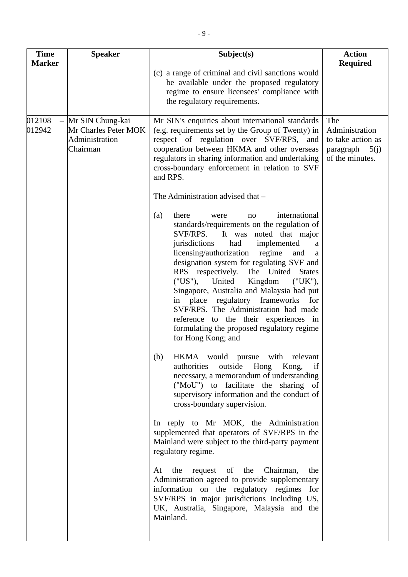| <b>Marker</b><br>Mr SIN Chung-kai                            | (c) a range of criminal and civil sanctions would<br>be available under the proposed regulatory<br>regime to ensure licensees' compliance with<br>the regulatory requirements.<br>Mr SIN's enquiries about international standards<br>(e.g. requirements set by the Group of Twenty) in<br>respect of regulation over SVF/RPS, and                                                                                                                                                                                                                                                                                                                                                                                                                                                                                                                                                                                                                                                                                                                                                                                                                                                                                                                                                                                                 | <b>Required</b><br>The                                                      |
|--------------------------------------------------------------|------------------------------------------------------------------------------------------------------------------------------------------------------------------------------------------------------------------------------------------------------------------------------------------------------------------------------------------------------------------------------------------------------------------------------------------------------------------------------------------------------------------------------------------------------------------------------------------------------------------------------------------------------------------------------------------------------------------------------------------------------------------------------------------------------------------------------------------------------------------------------------------------------------------------------------------------------------------------------------------------------------------------------------------------------------------------------------------------------------------------------------------------------------------------------------------------------------------------------------------------------------------------------------------------------------------------------------|-----------------------------------------------------------------------------|
| 012108                                                       |                                                                                                                                                                                                                                                                                                                                                                                                                                                                                                                                                                                                                                                                                                                                                                                                                                                                                                                                                                                                                                                                                                                                                                                                                                                                                                                                    |                                                                             |
| 012942<br>Mr Charles Peter MOK<br>Administration<br>Chairman | cooperation between HKMA and other overseas<br>regulators in sharing information and undertaking<br>cross-boundary enforcement in relation to SVF<br>and RPS.                                                                                                                                                                                                                                                                                                                                                                                                                                                                                                                                                                                                                                                                                                                                                                                                                                                                                                                                                                                                                                                                                                                                                                      | Administration<br>to take action as<br>paragraph<br>5(j)<br>of the minutes. |
|                                                              | The Administration advised that –<br>international<br>there<br>(a)<br>were<br>no<br>standards/requirements on the regulation of<br>It was noted that major<br>SVF/RPS.<br>jurisdictions<br>implemented<br>had<br>a<br>licensing/authorization regime<br>and<br>a<br>designation system for regulating SVF and<br>RPS respectively. The United States<br>("US"), United<br>Kingdom<br>("UK"),<br>Singapore, Australia and Malaysia had put<br>place regulatory frameworks<br>in<br>for<br>SVF/RPS. The Administration had made<br>reference to the their experiences in<br>formulating the proposed regulatory regime<br>for Hong Kong; and<br>HKMA would pursue with relevant<br>(b)<br>authorities<br>outside Hong<br>Kong,<br>if<br>necessary, a memorandum of understanding<br>("MoU") to facilitate the sharing of<br>supervisory information and the conduct of<br>cross-boundary supervision.<br>In reply to Mr MOK, the Administration<br>supplemented that operators of SVF/RPS in the<br>Mainland were subject to the third-party payment<br>regulatory regime.<br>the request of the Chairman,<br>At<br>the<br>Administration agreed to provide supplementary<br>information on the regulatory regimes<br>for<br>SVF/RPS in major jurisdictions including US,<br>UK, Australia, Singapore, Malaysia and the<br>Mainland. |                                                                             |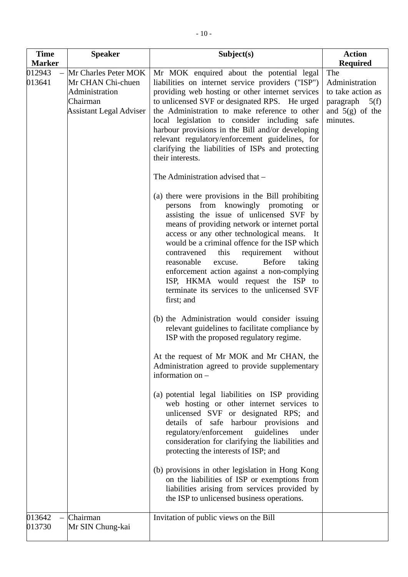| <b>Time</b>                       | <b>Speaker</b>                                                                                            | Subject(s)                                                                                                                                                                                                                                                                                                                                                                                                                                                                                                                                             | <b>Action</b>                                                                                                       |
|-----------------------------------|-----------------------------------------------------------------------------------------------------------|--------------------------------------------------------------------------------------------------------------------------------------------------------------------------------------------------------------------------------------------------------------------------------------------------------------------------------------------------------------------------------------------------------------------------------------------------------------------------------------------------------------------------------------------------------|---------------------------------------------------------------------------------------------------------------------|
| <b>Marker</b><br>012943<br>013641 | Mr Charles Peter MOK<br>Mr CHAN Chi-chuen<br>Administration<br>Chairman<br><b>Assistant Legal Adviser</b> | Mr MOK enquired about the potential legal<br>liabilities on internet service providers ("ISP")<br>providing web hosting or other internet services<br>to unlicensed SVF or designated RPS. He urged<br>the Administration to make reference to other<br>local legislation to consider including safe<br>harbour provisions in the Bill and/or developing<br>relevant regulatory/enforcement guidelines, for<br>clarifying the liabilities of ISPs and protecting<br>their interests.<br>The Administration advised that –                              | <b>Required</b><br>The<br>Administration<br>to take action as<br>paragraph<br>5(f)<br>and $5(g)$ of the<br>minutes. |
|                                   |                                                                                                           | (a) there were provisions in the Bill prohibiting<br>persons from knowingly promoting<br><b>or</b><br>assisting the issue of unlicensed SVF by<br>means of providing network or internet portal<br>access or any other technological means. It<br>would be a criminal offence for the ISP which<br>this<br>requirement<br>contravened<br>without<br>reasonable<br><b>Before</b><br>taking<br>excuse.<br>enforcement action against a non-complying<br>ISP, HKMA would request the ISP to<br>terminate its services to the unlicensed SVF<br>first; and |                                                                                                                     |
|                                   |                                                                                                           | (b) the Administration would consider issuing<br>relevant guidelines to facilitate compliance by<br>ISP with the proposed regulatory regime.<br>At the request of Mr MOK and Mr CHAN, the                                                                                                                                                                                                                                                                                                                                                              |                                                                                                                     |
|                                   |                                                                                                           | Administration agreed to provide supplementary<br>information on -<br>(a) potential legal liabilities on ISP providing<br>web hosting or other internet services to<br>unlicensed SVF or designated RPS; and<br>details of safe harbour provisions<br>and<br>regulatory/enforcement guidelines<br>under<br>consideration for clarifying the liabilities and<br>protecting the interests of ISP; and                                                                                                                                                    |                                                                                                                     |
|                                   |                                                                                                           | (b) provisions in other legislation in Hong Kong<br>on the liabilities of ISP or exemptions from<br>liabilities arising from services provided by<br>the ISP to unlicensed business operations.                                                                                                                                                                                                                                                                                                                                                        |                                                                                                                     |
| 013642<br>013730                  | Chairman<br>Mr SIN Chung-kai                                                                              | Invitation of public views on the Bill                                                                                                                                                                                                                                                                                                                                                                                                                                                                                                                 |                                                                                                                     |